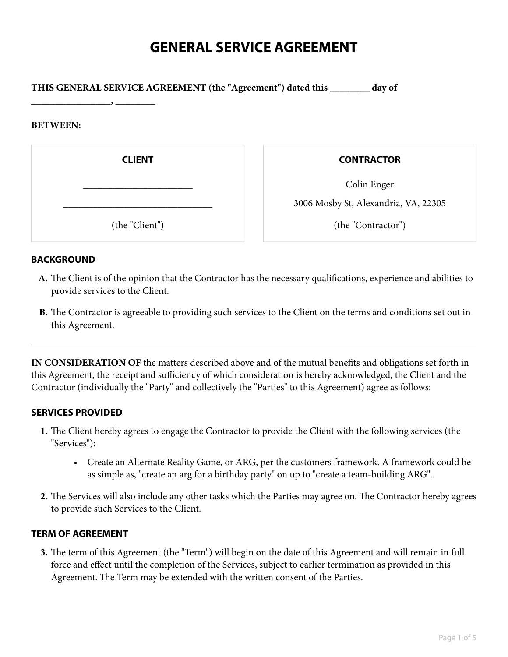# **GENERAL SERVICE AGREEMENT**

**THIS GENERAL SERVICE AGREEMENT (the "Agreement") dated this \_\_\_\_\_\_\_\_ day of**

### **BETWEEN:**

**\_\_\_\_\_\_\_\_\_\_\_\_\_\_\_\_, \_\_\_\_\_\_\_\_**

**CLIENT**

\_\_\_\_\_\_\_\_\_\_\_\_\_\_\_\_\_\_\_\_\_\_

\_\_\_\_\_\_\_\_\_\_\_\_\_\_\_\_\_\_\_\_\_\_\_\_\_\_\_\_\_\_

(the "Client")

**CONTRACTOR**

Colin Enger

3006 Mosby St, Alexandria, VA, 22305

(the "Contractor")

# **BACKGROUND**

- The Client is of the opinion that the Contractor has the necessary qualifications, experience and abilities to **A.** provide services to the Client.
- The Contractor is agreeable to providing such services to the Client on the terms and conditions set out in **B.** this Agreement.

**IN CONSIDERATION OF** the matters described above and of the mutual benefits and obligations set forth in this Agreement, the receipt and sufficiency of which consideration is hereby acknowledged, the Client and the Contractor (individually the "Party" and collectively the "Parties" to this Agreement) agree as follows:

# **SERVICES PROVIDED**

- The Client hereby agrees to engage the Contractor to provide the Client with the following services (the **1.** "Services"):
	- Create an Alternate Reality Game, or ARG, per the customers framework. A framework could be as simple as, "create an arg for a birthday party" on up to "create a team-building ARG"..
- The Services will also include any other tasks which the Parties may agree on. The Contractor hereby agrees **2.** to provide such Services to the Client.

# **TERM OF AGREEMENT**

The term of this Agreement (the "Term") will begin on the date of this Agreement and will remain in full **3.** force and effect until the completion of the Services, subject to earlier termination as provided in this Agreement. The Term may be extended with the written consent of the Parties.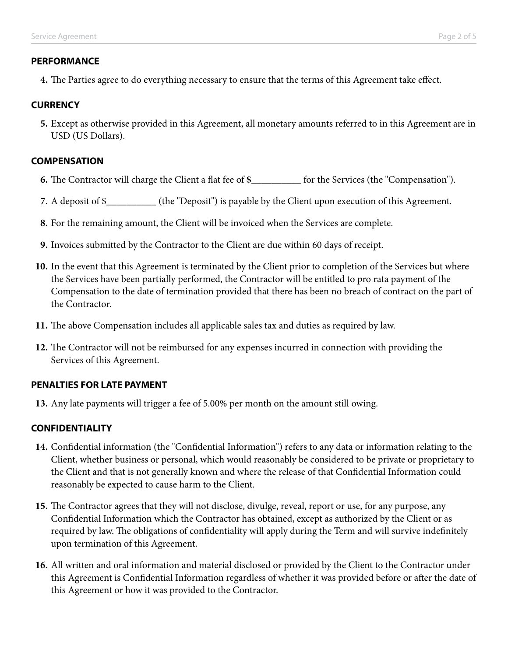# **PERFORMANCE**

**4.** The Parties agree to do everything necessary to ensure that the terms of this Agreement take effect.

# **CURRENCY**

Except as otherwise provided in this Agreement, all monetary amounts referred to in this Agreement are in **5.** USD (US Dollars).

# **COMPENSATION**

- **6.** The Contractor will charge the Client a flat fee of **\$\_\_\_\_\_\_\_\_\_\_** for the Services (the "Compensation").
- **7.** A deposit of \$\_\_\_\_\_\_\_\_\_\_ (the "Deposit") is payable by the Client upon execution of this Agreement.
- **8.** For the remaining amount, the Client will be invoiced when the Services are complete.
- **9.** Invoices submitted by the Contractor to the Client are due within 60 days of receipt.
- 10. In the event that this Agreement is terminated by the Client prior to completion of the Services but where the Services have been partially performed, the Contractor will be entitled to pro rata payment of the Compensation to the date of termination provided that there has been no breach of contract on the part of the Contractor.
- **11.** The above Compensation includes all applicable sales tax and duties as required by law.
- 12. The Contractor will not be reimbursed for any expenses incurred in connection with providing the Services of this Agreement.

# **PENALTIES FOR LATE PAYMENT**

**13.** Any late payments will trigger a fee of 5.00% per month on the amount still owing.

# **CONFIDENTIALITY**

- Confidential information (the "Confidential Information") refers to any data or information relating to the **14.** Client, whether business or personal, which would reasonably be considered to be private or proprietary to the Client and that is not generally known and where the release of that Confidential Information could reasonably be expected to cause harm to the Client.
- The Contractor agrees that they will not disclose, divulge, reveal, report or use, for any purpose, any **15.** Confidential Information which the Contractor has obtained, except as authorized by the Client or as required by law. The obligations of confidentiality will apply during the Term and will survive indefinitely upon termination of this Agreement.
- All written and oral information and material disclosed or provided by the Client to the Contractor under **16.** this Agreement is Confidential Information regardless of whether it was provided before or after the date of this Agreement or how it was provided to the Contractor.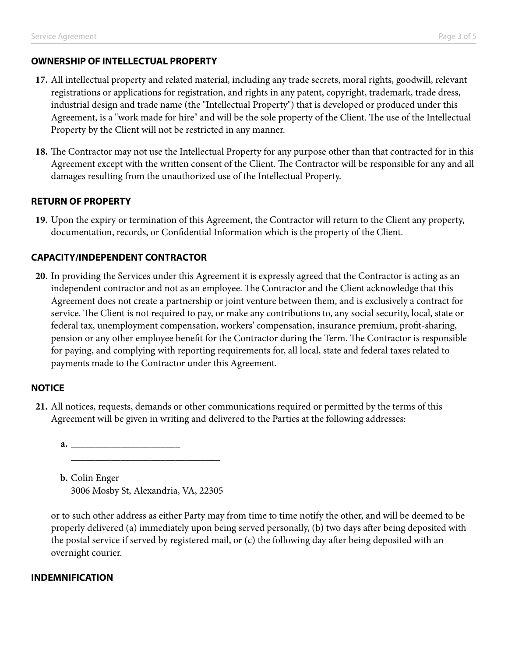# **OWNERSHIP OF INTELLECTUAL PROPERTY**

- All intellectual property and related material, including any trade secrets, moral rights, goodwill, relevant **17.** registrations or applications for registration, and rights in any patent, copyright, trademark, trade dress, industrial design and trade name (the "Intellectual Property") that is developed or produced under this Agreement, is a "work made for hire" and will be the sole property of the Client. The use of the Intellectual Property by the Client will not be restricted in any manner.
- The Contractor may not use the Intellectual Property for any purpose other than that contracted for in this **18.** Agreement except with the written consent of the Client. The Contractor will be responsible for any and all damages resulting from the unauthorized use of the Intellectual Property.

# **RETURN OF PROPERTY**

19. Upon the expiry or termination of this Agreement, the Contractor will return to the Client any property, documentation, records, or Confidential Information which is the property of the Client.

# **CAPACITY/INDEPENDENT CONTRACTOR**

In providing the Services under this Agreement it is expressly agreed that the Contractor is acting as an **20.** independent contractor and not as an employee. The Contractor and the Client acknowledge that this Agreement does not create a partnership or joint venture between them, and is exclusively a contract for service. The Client is not required to pay, or make any contributions to, any social security, local, state or federal tax, unemployment compensation, workers' compensation, insurance premium, profit-sharing, pension or any other employee benefit for the Contractor during the Term. The Contractor is responsible for paying, and complying with reporting requirements for, all local, state and federal taxes related to payments made to the Contractor under this Agreement.

# **NOTICE**

- All notices, requests, demands or other communications required or permitted by the terms of this **21.** Agreement will be given in writing and delivered to the Parties at the following addresses:
	- \_\_\_\_\_\_\_\_\_\_\_\_\_\_\_\_\_\_\_\_\_\_ \_\_\_\_\_\_\_\_\_\_\_\_\_\_\_\_\_\_\_\_\_\_\_\_\_\_\_\_\_\_ **a.**

**b.** Colin Enger 3006 Mosby St, Alexandria, VA, 22305

or to such other address as either Party may from time to time notify the other, and will be deemed to be properly delivered (a) immediately upon being served personally, (b) two days after being deposited with the postal service if served by registered mail, or (c) the following day after being deposited with an overnight courier.

# **INDEMNIFICATION**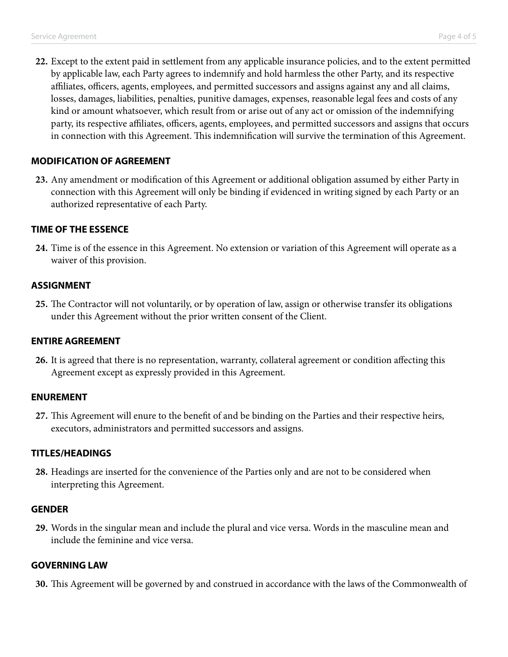Except to the extent paid in settlement from any applicable insurance policies, and to the extent permitted **22.** by applicable law, each Party agrees to indemnify and hold harmless the other Party, and its respective affiliates, officers, agents, employees, and permitted successors and assigns against any and all claims, losses, damages, liabilities, penalties, punitive damages, expenses, reasonable legal fees and costs of any kind or amount whatsoever, which result from or arise out of any act or omission of the indemnifying party, its respective affiliates, officers, agents, employees, and permitted successors and assigns that occurs in connection with this Agreement. This indemnification will survive the termination of this Agreement.

### **MODIFICATION OF AGREEMENT**

Any amendment or modification of this Agreement or additional obligation assumed by either Party in **23.** connection with this Agreement will only be binding if evidenced in writing signed by each Party or an authorized representative of each Party.

### **TIME OF THE ESSENCE**

Time is of the essence in this Agreement. No extension or variation of this Agreement will operate as a **24.** waiver of this provision.

#### **ASSIGNMENT**

The Contractor will not voluntarily, or by operation of law, assign or otherwise transfer its obligations **25.** under this Agreement without the prior written consent of the Client.

### **ENTIRE AGREEMENT**

It is agreed that there is no representation, warranty, collateral agreement or condition affecting this **26.** Agreement except as expressly provided in this Agreement.

#### **ENUREMENT**

This Agreement will enure to the benefit of and be binding on the Parties and their respective heirs, **27.** executors, administrators and permitted successors and assigns.

### **TITLES/HEADINGS**

Headings are inserted for the convenience of the Parties only and are not to be considered when **28.** interpreting this Agreement.

#### **GENDER**

Words in the singular mean and include the plural and vice versa. Words in the masculine mean and **29.** include the feminine and vice versa.

### **GOVERNING LAW**

**30.** This Agreement will be governed by and construed in accordance with the laws of the Commonwealth of